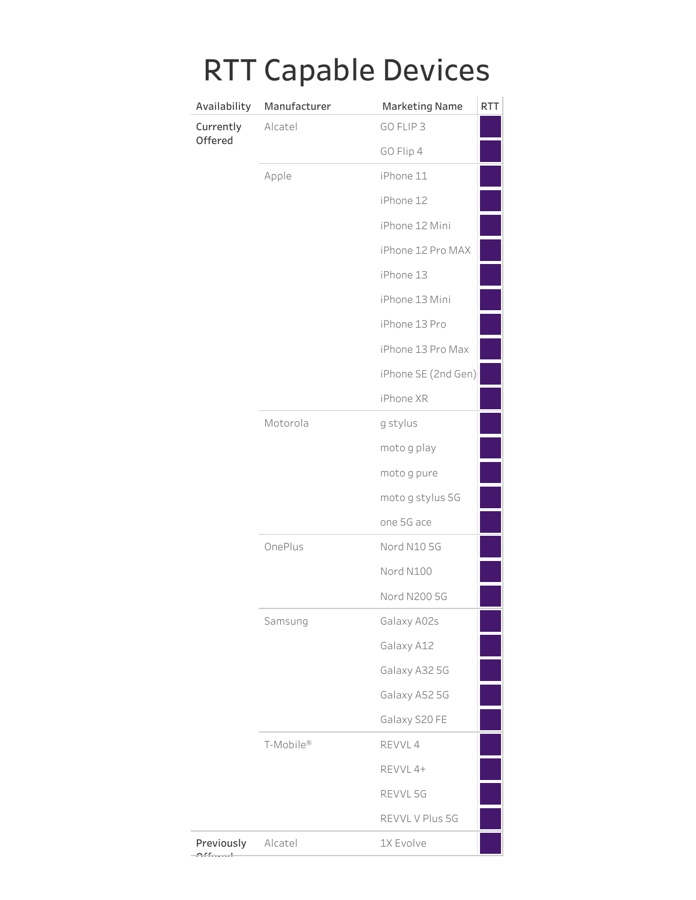| Availability         | Manufacturer | <b>Marketing Name</b> |
|----------------------|--------------|-----------------------|
| Currently<br>Offered | Alcatel      | GO FLIP 3             |
|                      |              | GO Flip 4             |
|                      | Apple        | iPhone 11             |
|                      |              | iPhone 12             |
|                      |              | iPhone 12 Mini        |
|                      |              | iPhone 12 Pro MAX     |
|                      |              | iPhone 13             |
|                      |              | iPhone 13 Mini        |
|                      |              | iPhone 13 Pro         |
|                      |              | iPhone 13 Pro Max     |
|                      |              | iPhone SE (2nd Gen)   |
|                      |              | iPhone XR             |
|                      | Motorola     | g stylus              |
|                      |              | moto g play           |
|                      |              | moto g pure           |
|                      |              | moto g stylus 5G      |
|                      |              | one 5G ace            |
|                      | OnePlus      | Nord N10 5G           |
|                      |              | Nord N100             |
|                      |              | Nord N200 5G          |
|                      | Samsung      | Galaxy A02s           |
|                      |              | Galaxy A12            |
|                      |              | Galaxy A32 5G         |
|                      |              | Galaxy A52 5G         |
|                      |              | Galaxy S20 FE         |
|                      | T-Mobile®    | REVVL 4               |
|                      |              | REVVL 4+              |
|                      |              | REVVL 5G              |
|                      |              | REVVL V Plus 5G       |
| Previously           | Alcatel      | 1X Evolve             |

## RTT Canable Devices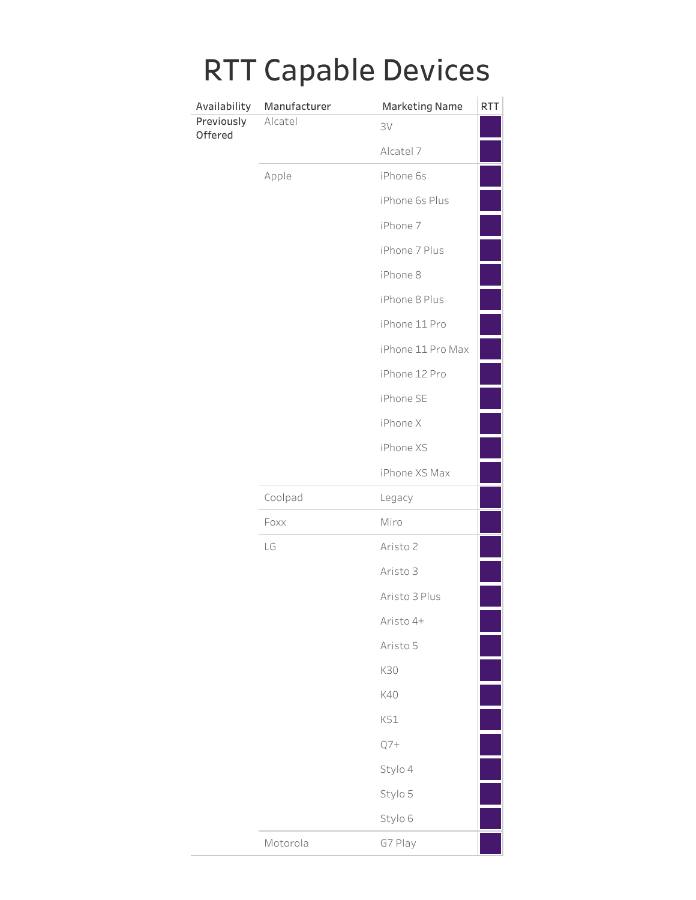| IN I                  |              | Capable Devices       |            |
|-----------------------|--------------|-----------------------|------------|
| Availability          | Manufacturer | <b>Marketing Name</b> | <b>RTT</b> |
| Previously<br>Offered | Alcatel      | 3V                    |            |
|                       |              | Alcatel 7             |            |
|                       | Apple        | iPhone 6s             |            |
|                       |              | iPhone 6s Plus        |            |
|                       |              | iPhone 7              |            |
|                       |              | iPhone 7 Plus         |            |
|                       |              | iPhone 8              |            |
|                       |              | iPhone 8 Plus         |            |
|                       |              | iPhone 11 Pro         |            |
|                       |              | iPhone 11 Pro Max     |            |
|                       |              | iPhone 12 Pro         |            |
|                       |              | iPhone SE             |            |
|                       |              | iPhone X              |            |
|                       |              | iPhone XS             |            |
|                       |              | iPhone XS Max         |            |
|                       | Coolpad      | Legacy                |            |
|                       | Foxx         | Miro                  |            |
|                       | LG           | Aristo 2              |            |
|                       |              | Aristo 3              |            |
|                       |              | Aristo 3 Plus         |            |
|                       |              | Aristo 4+             |            |
|                       |              | Aristo 5              |            |
|                       |              | K30                   |            |
|                       |              | K40                   |            |
|                       |              | K51                   |            |
|                       |              | $Q7+$                 |            |
|                       |              | Stylo 4               |            |
|                       |              | Stylo 5               |            |
|                       |              | Stylo 6               |            |
|                       | Motorola     | G7 Play               |            |

## RTT Canable Devices